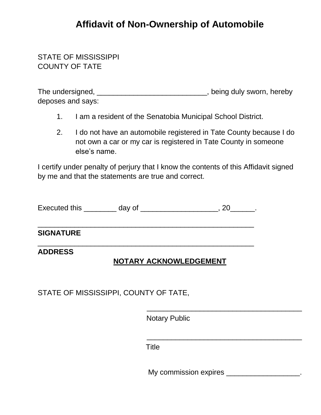## **Affidavit of Non-Ownership of Automobile**

## STATE OF MISSISSIPPI COUNTY OF TATE

| The undersigned,  | being duly sworn, hereby, |
|-------------------|---------------------------|
| deposes and says: |                           |

- 1. I am a resident of the Senatobia Municipal School District.
- 2. I do not have an automobile registered in Tate County because I do not own a car or my car is registered in Tate County in someone else's name.

I certify under penalty of perjury that I know the contents of this Affidavit signed by me and that the statements are true and correct.

Executed this day of the secuted this the day of the secure of the security of the security of the security of the security of the security of the security of the security of the security of the security of the security of

\_\_\_\_\_\_\_\_\_\_\_\_\_\_\_\_\_\_\_\_\_\_\_\_\_\_\_\_\_\_\_\_\_\_\_\_\_\_\_\_\_\_\_\_\_\_\_\_\_\_\_\_\_

\_\_\_\_\_\_\_\_\_\_\_\_\_\_\_\_\_\_\_\_\_\_\_\_\_\_\_\_\_\_\_\_\_\_\_\_\_\_\_\_\_\_\_\_\_\_\_\_\_\_\_\_\_

### **SIGNATURE**

### **ADDRESS**

## **NOTARY ACKNOWLEDGEMENT**

STATE OF MISSISSIPPI, COUNTY OF TATE,

Notary Public

Title

My commission expires \_\_\_\_\_\_\_\_\_\_\_\_\_\_\_\_\_\_.

\_\_\_\_\_\_\_\_\_\_\_\_\_\_\_\_\_\_\_\_\_\_\_\_\_\_\_\_\_\_\_\_\_\_\_\_\_\_

\_\_\_\_\_\_\_\_\_\_\_\_\_\_\_\_\_\_\_\_\_\_\_\_\_\_\_\_\_\_\_\_\_\_\_\_\_\_